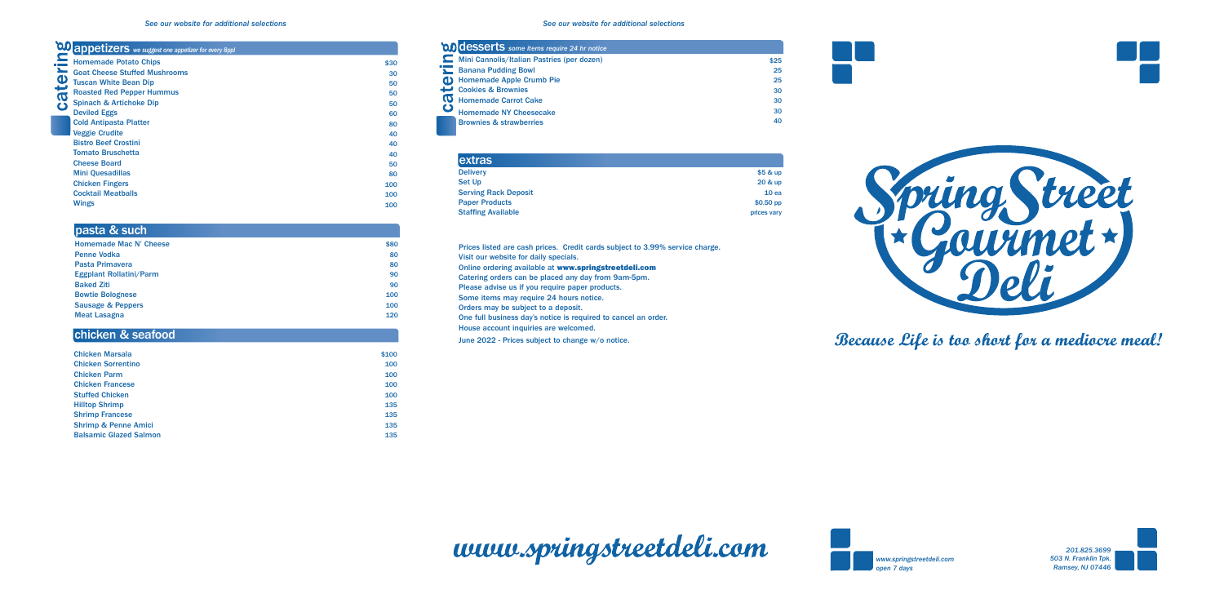





**Because Life is too short for a mediocre meal!**

|                                    | \$25                                                                                                                                                                                                                                 |
|------------------------------------|--------------------------------------------------------------------------------------------------------------------------------------------------------------------------------------------------------------------------------------|
|                                    | 25                                                                                                                                                                                                                                   |
|                                    | 25                                                                                                                                                                                                                                   |
|                                    | 30                                                                                                                                                                                                                                   |
|                                    | 30                                                                                                                                                                                                                                   |
| <b>Homemade NY Cheesecake</b>      | 30                                                                                                                                                                                                                                   |
| <b>Brownies &amp; strawberries</b> | 40                                                                                                                                                                                                                                   |
|                                    | 00 desserts some items require 24 hr notice<br>Mini Cannolis/Italian Pastries (per dozen)<br><b>Example 2</b> Banana Pudding Bowl<br><b>Homemade Apple Crumb Pie</b><br><b>Cookies &amp; Brownies</b><br><b>Homemade Carrot Cake</b> |

| <b>extras</b>               |             |
|-----------------------------|-------------|
| <b>Delivery</b>             | \$5 & up    |
| Set Up                      | 20 & up     |
| <b>Serving Rack Deposit</b> | 10ea        |
| <b>Paper Products</b>       | $$0.50$ pp  |
| <b>Staffing Available</b>   | prices vary |

Prices listed are cash prices. Credit cards subject to 3.99% service charge. Visit our website for daily specials. Online ordering available at www.springstreetdeli.com Catering orders can be placed any day from 9am-5pm. Please advise us if you require paper products. Some items may require 24 hours notice. Orders may be subject to a deposit. One full business day's notice is required to cancel an order. House account inquiries are welcomed. June 2022 - Prices subject to change w/o notice.



|      | <b>to appetizers</b> we suggest one appetizer for every Sppl |      |
|------|--------------------------------------------------------------|------|
|      | <b>Homemade Potato Chips</b>                                 | \$30 |
|      | <b>Goat Cheese Stuffed Mushrooms</b>                         | 30   |
|      | <b>Tuscan White Bean Dip</b>                                 | 50   |
|      | <b>Roasted Red Pepper Hummus</b>                             | 50   |
| cate | <b>Spinach &amp; Artichoke Dip</b>                           | 50   |
|      | <b>Deviled Eggs</b>                                          | 60   |
|      | <b>Cold Antipasta Platter</b>                                | 80   |
|      | <b>Veggie Crudite</b>                                        | 40   |
|      | <b>Bistro Beef Crostini</b>                                  | 40   |
|      | <b>Tomato Bruschetta</b>                                     | 40   |
|      | <b>Cheese Board</b>                                          | 50   |
|      | <b>Mini Quesadillas</b>                                      | 80   |
|      | <b>Chicken Fingers</b>                                       | 100  |
|      | <b>Cocktail Meatballs</b>                                    | 100  |
|      | <b>Wings</b>                                                 | 100  |

| \$80 |
|------|
| 80   |
| 80   |
| 90   |
| 90   |
| 100  |
| 100  |
| 120  |
|      |

# pasta & such

| <b>Chicken Marsala</b>          | \$100 |
|---------------------------------|-------|
| <b>Chicken Sorrentino</b>       | 100   |
| <b>Chicken Parm</b>             | 100   |
| <b>Chicken Francese</b>         | 100   |
| <b>Stuffed Chicken</b>          | 100   |
| <b>Hilltop Shrimp</b>           | 135   |
| <b>Shrimp Francese</b>          | 135   |
| <b>Shrimp &amp; Penne Amici</b> | 135   |
| <b>Balsamic Glazed Salmon</b>   | 135   |

# chicken & seafood

#### *See our website for additional selections See our website for additional selections*